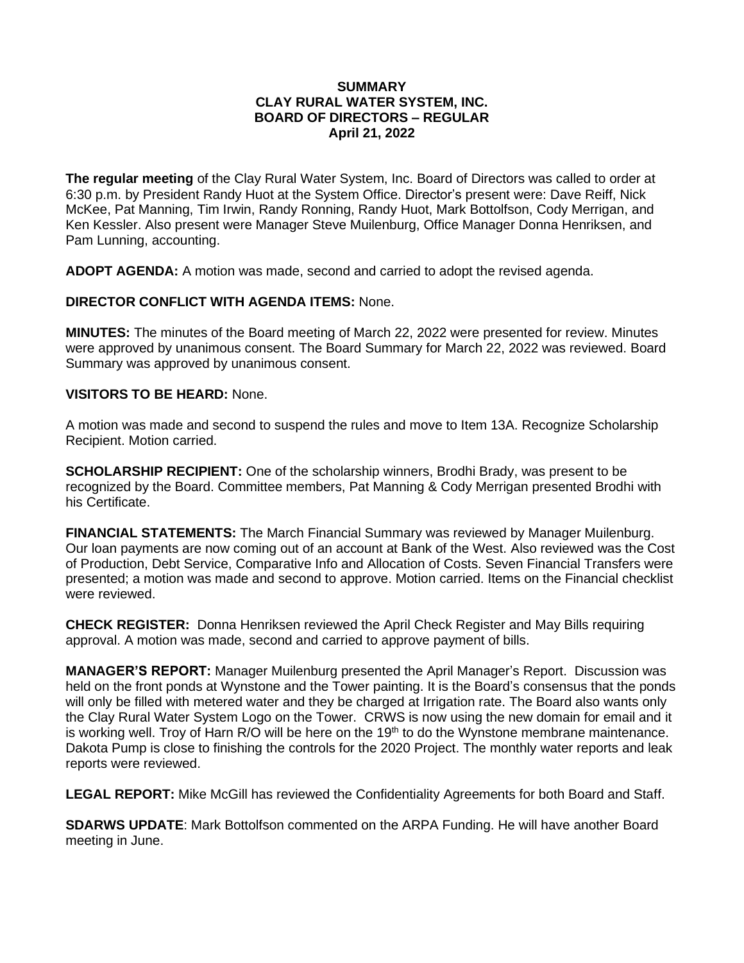## **SUMMARY CLAY RURAL WATER SYSTEM, INC. BOARD OF DIRECTORS – REGULAR April 21, 2022**

**The regular meeting** of the Clay Rural Water System, Inc. Board of Directors was called to order at 6:30 p.m. by President Randy Huot at the System Office. Director's present were: Dave Reiff, Nick McKee, Pat Manning, Tim Irwin, Randy Ronning, Randy Huot, Mark Bottolfson, Cody Merrigan, and Ken Kessler. Also present were Manager Steve Muilenburg, Office Manager Donna Henriksen, and Pam Lunning, accounting.

**ADOPT AGENDA:** A motion was made, second and carried to adopt the revised agenda.

## **DIRECTOR CONFLICT WITH AGENDA ITEMS:** None.

**MINUTES:** The minutes of the Board meeting of March 22, 2022 were presented for review. Minutes were approved by unanimous consent. The Board Summary for March 22, 2022 was reviewed. Board Summary was approved by unanimous consent.

## **VISITORS TO BE HEARD:** None.

A motion was made and second to suspend the rules and move to Item 13A. Recognize Scholarship Recipient. Motion carried.

**SCHOLARSHIP RECIPIENT:** One of the scholarship winners, Brodhi Brady, was present to be recognized by the Board. Committee members, Pat Manning & Cody Merrigan presented Brodhi with his Certificate.

**FINANCIAL STATEMENTS:** The March Financial Summary was reviewed by Manager Muilenburg. Our loan payments are now coming out of an account at Bank of the West. Also reviewed was the Cost of Production, Debt Service, Comparative Info and Allocation of Costs. Seven Financial Transfers were presented; a motion was made and second to approve. Motion carried. Items on the Financial checklist were reviewed.

**CHECK REGISTER:** Donna Henriksen reviewed the April Check Register and May Bills requiring approval. A motion was made, second and carried to approve payment of bills.

**MANAGER'S REPORT:** Manager Muilenburg presented the April Manager's Report. Discussion was held on the front ponds at Wynstone and the Tower painting. It is the Board's consensus that the ponds will only be filled with metered water and they be charged at Irrigation rate. The Board also wants only the Clay Rural Water System Logo on the Tower. CRWS is now using the new domain for email and it is working well. Troy of Harn R/O will be here on the 19<sup>th</sup> to do the Wynstone membrane maintenance. Dakota Pump is close to finishing the controls for the 2020 Project. The monthly water reports and leak reports were reviewed.

**LEGAL REPORT:** Mike McGill has reviewed the Confidentiality Agreements for both Board and Staff.

**SDARWS UPDATE**: Mark Bottolfson commented on the ARPA Funding. He will have another Board meeting in June.